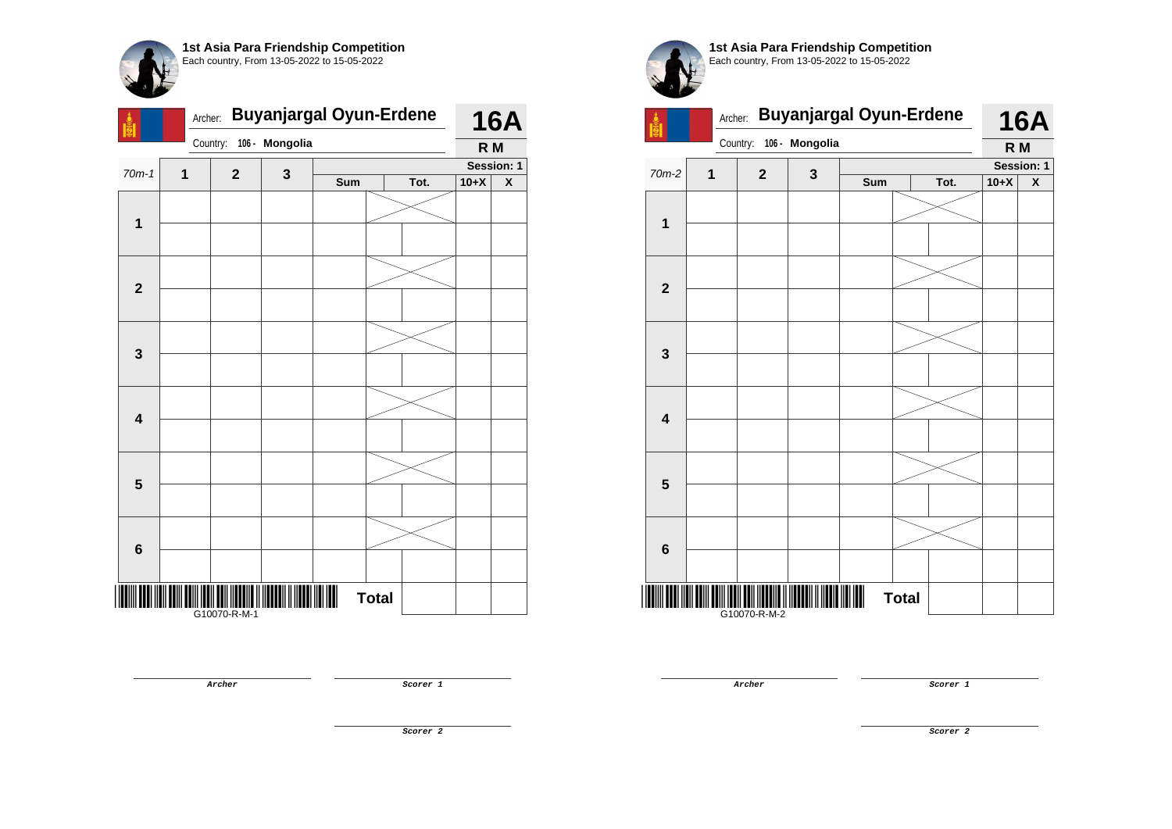|                         | <b>Buyanjargal Oyun-Erdene</b><br>Archer: |              |                |     |              |      | <b>16A</b>     |   |  |
|-------------------------|-------------------------------------------|--------------|----------------|-----|--------------|------|----------------|---|--|
|                         |                                           | Country:     | 106 - Mongolia |     |              |      | R <sub>M</sub> |   |  |
| $70m-1$                 | 1<br>$\mathbf{2}$                         |              |                |     |              |      | Session: 1     |   |  |
|                         |                                           |              | 3              | Sum |              | Tot. | $10+X$         | X |  |
| $\mathbf{1}$            |                                           |              |                |     |              |      |                |   |  |
|                         |                                           |              |                |     |              |      |                |   |  |
| $\mathbf{2}$            |                                           |              |                |     |              |      |                |   |  |
|                         |                                           |              |                |     |              |      |                |   |  |
|                         |                                           |              |                |     |              |      |                |   |  |
| $\mathbf{3}$            |                                           |              |                |     |              |      |                |   |  |
|                         |                                           |              |                |     |              |      |                |   |  |
| $\overline{\mathbf{4}}$ |                                           |              |                |     |              |      |                |   |  |
|                         |                                           |              |                |     |              |      |                |   |  |
| $\overline{\mathbf{5}}$ |                                           |              |                |     |              |      |                |   |  |
|                         |                                           |              |                |     |              |      |                |   |  |
| $\bf 6$                 |                                           |              |                |     |              |      |                |   |  |
|                         |                                           | G10070-R-M-1 |                |     | <b>Total</b> |      |                |   |  |



G10070-R-M-2

**Archer Scorer 1** 

**Archer Scorer 1** 

**Scorer 2**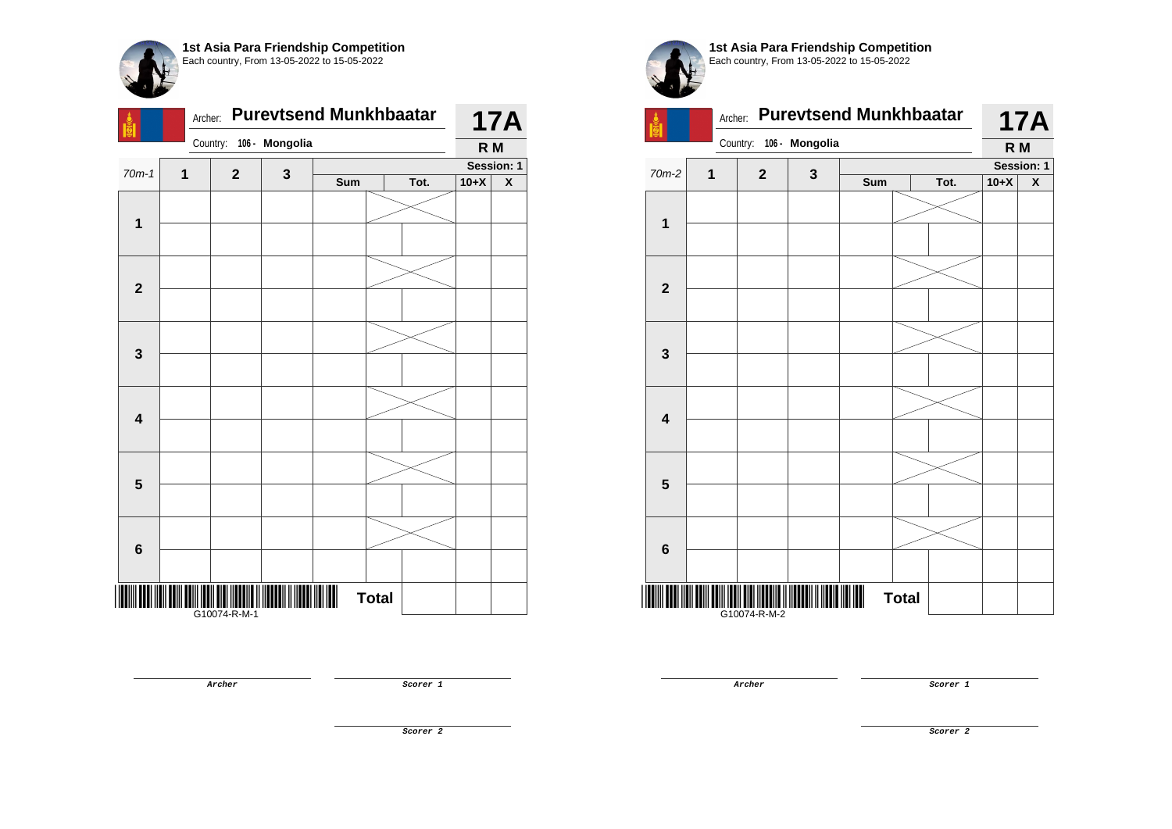

|                         | Archer:                         |                         |  | <b>Purevtsend Munkhbaatar</b> |              |      |            | <b>17A</b>         |
|-------------------------|---------------------------------|-------------------------|--|-------------------------------|--------------|------|------------|--------------------|
|                         |                                 | Country: 106 - Mongolia |  |                               |              |      | R M        |                    |
| $70m-1$                 | 1<br>$\mathbf 2$<br>$\mathbf 3$ |                         |  |                               |              |      | Session: 1 |                    |
|                         |                                 |                         |  | Sum                           |              | Tot. | $10+X$     | $\pmb{\mathsf{X}}$ |
| $\mathbf{1}$            |                                 |                         |  |                               |              |      |            |                    |
|                         |                                 |                         |  |                               |              |      |            |                    |
| $\overline{\mathbf{2}}$ |                                 |                         |  |                               |              |      |            |                    |
|                         |                                 |                         |  |                               |              |      |            |                    |
|                         |                                 |                         |  |                               |              |      |            |                    |
| $\mathbf{3}$            |                                 |                         |  |                               |              |      |            |                    |
|                         |                                 |                         |  |                               |              |      |            |                    |
| $\overline{\mathbf{4}}$ |                                 |                         |  |                               |              |      |            |                    |
|                         |                                 |                         |  |                               |              |      |            |                    |
| $5\phantom{1}$          |                                 |                         |  |                               |              |      |            |                    |
|                         |                                 |                         |  |                               |              |      |            |                    |
| $6\phantom{1}6$         |                                 |                         |  |                               |              |      |            |                    |
|                         |                                 | G10074-R-M-1            |  |                               | <b>Total</b> |      |            |                    |

**Archer Scorer 1** 

Archer: **Purevtsend Munkhbaatar**  Country: **106 - Mongolia 17A R M**  $70m-2$  **1 2 3 Session: 1 Sum Tot. 10+X X 1 2 3 4 5 6**

<u>Maria di Karajaan Maria Maria Maria Maria Maria Maria Maria Maria Maria Maria Maria Maria Maria Maria Maria Ma</u>

G10074-R-M-2

**1st Asia Para Friendship Competition** Each country, From 13-05-2022 to 15-05-2022

**Archer Scorer 1** 

**Total** 

**Scorer 2**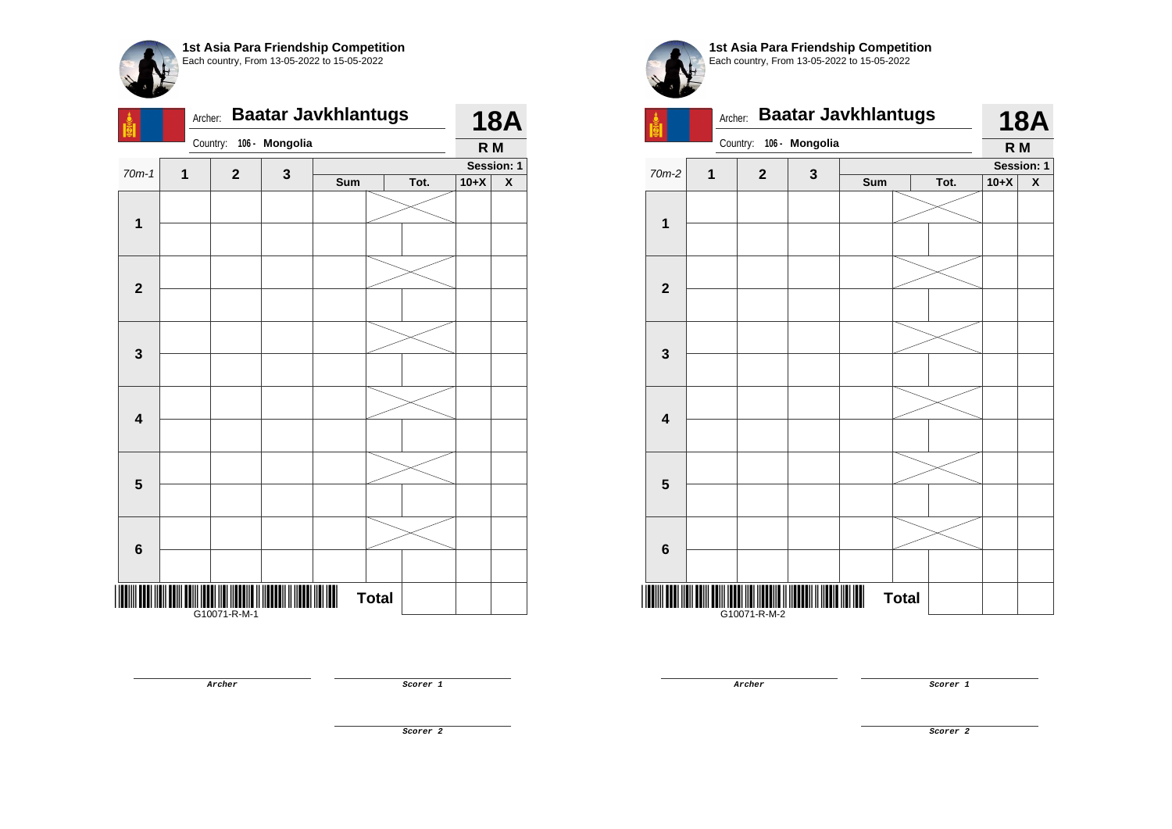| <b>Di(O</b> e           | <b>Baatar Javkhlantugs</b><br>Archer: |                |                |     |              |      | <b>18A</b> |                           |  |
|-------------------------|---------------------------------------|----------------|----------------|-----|--------------|------|------------|---------------------------|--|
|                         |                                       | Country:       | 106 - Mongolia |     |              |      | R M        |                           |  |
| $70m-1$                 | 1                                     | $\overline{2}$ | 3              |     |              |      |            | Session: 1                |  |
|                         |                                       |                |                | Sum |              | Tot. | $10+X$     | $\boldsymbol{\mathsf{x}}$ |  |
|                         |                                       |                |                |     |              |      |            |                           |  |
| $\mathbf 1$             |                                       |                |                |     |              |      |            |                           |  |
|                         |                                       |                |                |     |              |      |            |                           |  |
|                         |                                       |                |                |     |              |      |            |                           |  |
| $\mathbf{2}$            |                                       |                |                |     |              |      |            |                           |  |
|                         |                                       |                |                |     |              |      |            |                           |  |
|                         |                                       |                |                |     |              |      |            |                           |  |
| $\mathbf{3}$            |                                       |                |                |     |              |      |            |                           |  |
|                         |                                       |                |                |     |              |      |            |                           |  |
|                         |                                       |                |                |     |              |      |            |                           |  |
|                         |                                       |                |                |     |              |      |            |                           |  |
| 4                       |                                       |                |                |     |              |      |            |                           |  |
|                         |                                       |                |                |     |              |      |            |                           |  |
|                         |                                       |                |                |     |              |      |            |                           |  |
| $\overline{\mathbf{5}}$ |                                       |                |                |     |              |      |            |                           |  |
|                         |                                       |                |                |     |              |      |            |                           |  |
|                         |                                       |                |                |     |              |      |            |                           |  |
| 6                       |                                       |                |                |     |              |      |            |                           |  |
|                         |                                       |                |                |     |              |      |            |                           |  |
|                         |                                       |                |                |     |              |      |            |                           |  |
| IIIIII                  |                                       | G10071-R-M-1   |                |     | <b>Total</b> |      |            |                           |  |



**1**



**Archer Scorer 1** 

**Archer Scorer 1** 

**18A R M**

**Session: 1**

**Scorer 2**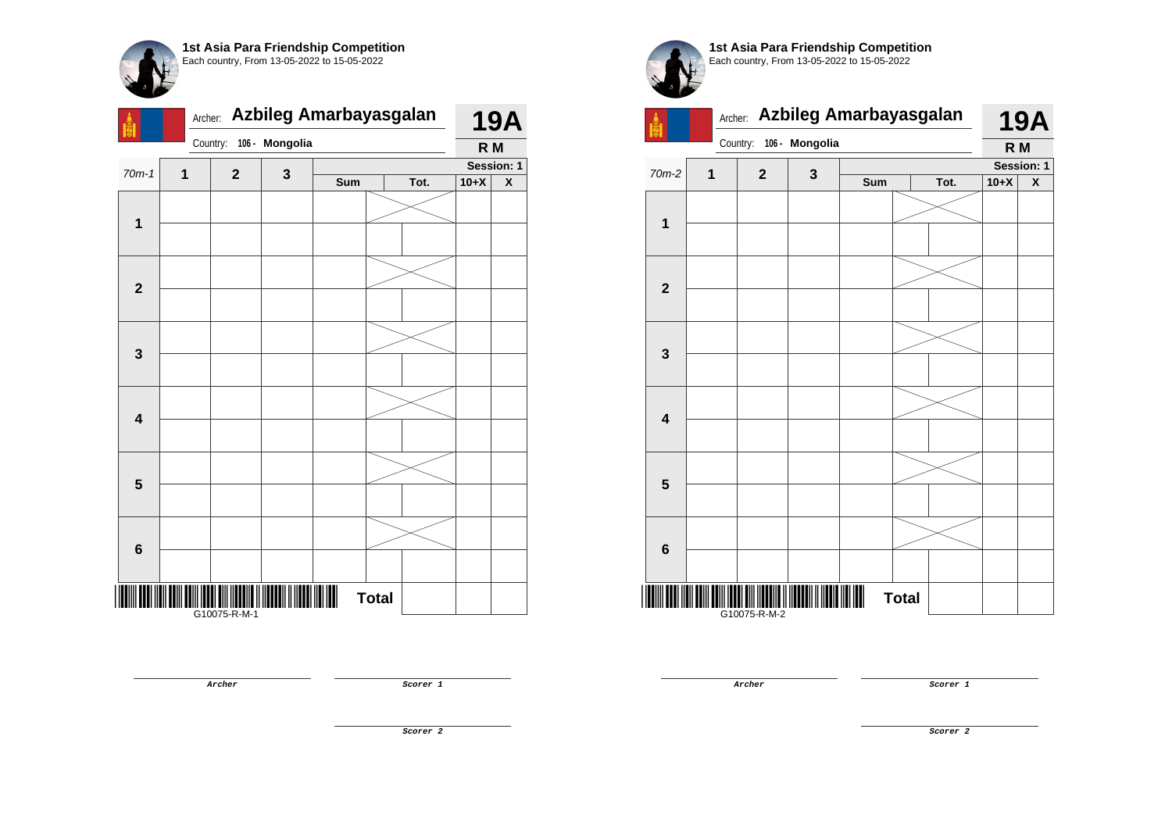

|                         | Azbileg Amarbayasgalan<br>Archer: |              |                |     |              |      | <b>19A</b> |   |  |
|-------------------------|-----------------------------------|--------------|----------------|-----|--------------|------|------------|---|--|
|                         |                                   | Country:     | 106 - Mongolia |     |              |      | R M        |   |  |
| $70m-1$                 | 1<br>$\mathbf{2}$                 |              |                |     |              |      | Session: 1 |   |  |
|                         |                                   |              | 3              | Sum |              | Tot. | $10+X$     | X |  |
| $\mathbf 1$             |                                   |              |                |     |              |      |            |   |  |
|                         |                                   |              |                |     |              |      |            |   |  |
| $\mathbf{2}$            |                                   |              |                |     |              |      |            |   |  |
|                         |                                   |              |                |     |              |      |            |   |  |
|                         |                                   |              |                |     |              |      |            |   |  |
| $\mathbf{3}$            |                                   |              |                |     |              |      |            |   |  |
|                         |                                   |              |                |     |              |      |            |   |  |
| $\overline{\mathbf{4}}$ |                                   |              |                |     |              |      |            |   |  |
|                         |                                   |              |                |     |              |      |            |   |  |
| $\overline{\mathbf{5}}$ |                                   |              |                |     |              |      |            |   |  |
|                         |                                   |              |                |     |              |      |            |   |  |
| $\bf 6$                 |                                   |              |                |     |              |      |            |   |  |
|                         |                                   | G10075-R-M-1 |                |     | <b>Total</b> |      |            |   |  |





**Archer Scorer 1** 

**Scorer 2**

**Archer Scorer 1**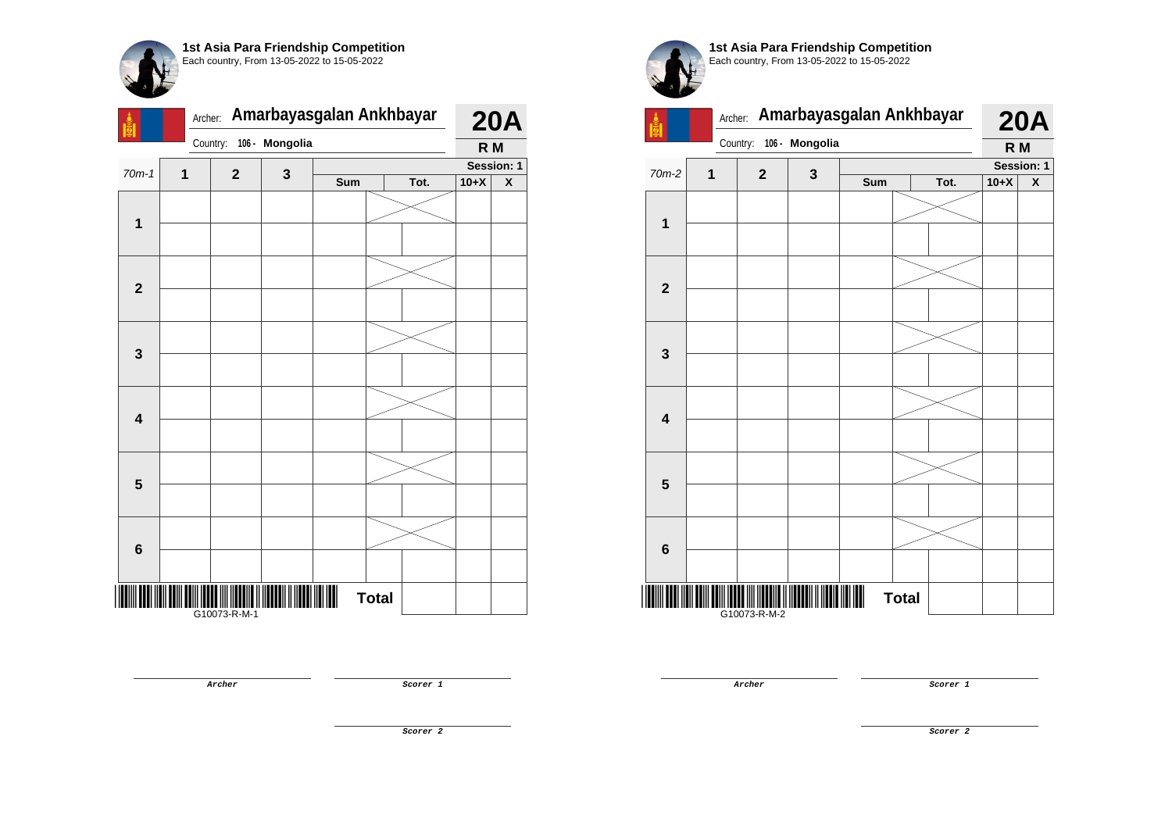| <b>Bile</b>             | Amarbayasgalan Ankhbayar<br>Archer: |              |                |     |              |      |        | <b>20A</b>         |  |  |
|-------------------------|-------------------------------------|--------------|----------------|-----|--------------|------|--------|--------------------|--|--|
|                         |                                     | Country:     | 106 - Mongolia |     |              |      | R M    |                    |  |  |
| $70m-1$                 | 1                                   | $\mathbf{2}$ | 3              |     | Session: 1   |      |        |                    |  |  |
|                         |                                     |              |                | Sum |              | Tot. | $10+X$ | $\pmb{\mathsf{X}}$ |  |  |
|                         |                                     |              |                |     |              |      |        |                    |  |  |
| 1                       |                                     |              |                |     |              |      |        |                    |  |  |
|                         |                                     |              |                |     |              |      |        |                    |  |  |
|                         |                                     |              |                |     |              |      |        |                    |  |  |
| $\mathbf{2}$            |                                     |              |                |     |              |      |        |                    |  |  |
|                         |                                     |              |                |     |              |      |        |                    |  |  |
|                         |                                     |              |                |     |              |      |        |                    |  |  |
| $\mathbf 3$             |                                     |              |                |     |              |      |        |                    |  |  |
|                         |                                     |              |                |     |              |      |        |                    |  |  |
|                         |                                     |              |                |     |              |      |        |                    |  |  |
|                         |                                     |              |                |     |              |      |        |                    |  |  |
| $\overline{\mathbf{4}}$ |                                     |              |                |     |              |      |        |                    |  |  |
|                         |                                     |              |                |     |              |      |        |                    |  |  |
|                         |                                     |              |                |     |              |      |        |                    |  |  |
| $\overline{\mathbf{5}}$ |                                     |              |                |     |              |      |        |                    |  |  |
|                         |                                     |              |                |     |              |      |        |                    |  |  |
|                         |                                     |              |                |     |              |      |        |                    |  |  |
| 6                       |                                     |              |                |     |              |      |        |                    |  |  |
|                         |                                     |              |                |     |              |      |        |                    |  |  |
|                         |                                     |              |                | ║   | <b>Total</b> |      |        |                    |  |  |
|                         |                                     | G10073-R-M-1 |                |     |              |      |        |                    |  |  |



G10073-R-M-2

**Archer Scorer 1** 

**Archer Scorer 1** 

**Scorer 2**